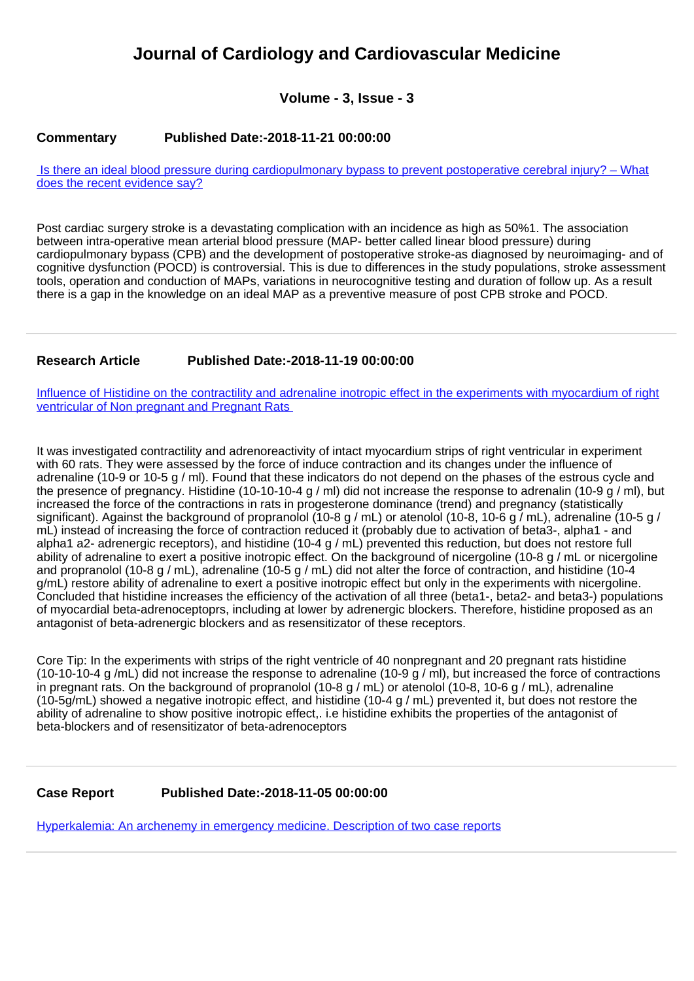# **Journal of Cardiology and Cardiovascular Medicine**

**Volume - 3, Issue - 3**

## **Commentary Published Date:-2018-11-21 00:00:00**

 [Is there an ideal blood pressure during cardiopulmonary bypass to prevent postoperative cerebral injury? – What](https://www.cardiologymedjournal.com/articles/jccm-aid1031.pdf) [does the recent evidence say?](https://www.cardiologymedjournal.com/articles/jccm-aid1031.pdf)

Post cardiac surgery stroke is a devastating complication with an incidence as high as 50%1. The association between intra-operative mean arterial blood pressure (MAP- better called linear blood pressure) during cardiopulmonary bypass (CPB) and the development of postoperative stroke-as diagnosed by neuroimaging- and of cognitive dysfunction (POCD) is controversial. This is due to differences in the study populations, stroke assessment tools, operation and conduction of MAPs, variations in neurocognitive testing and duration of follow up. As a result there is a gap in the knowledge on an ideal MAP as a preventive measure of post CPB stroke and POCD.

## **Research Article Published Date:-2018-11-19 00:00:00**

[Influence of Histidine on the contractility and adrenaline inotropic effect in the experiments with myocardium of right](https://www.cardiologymedjournal.com/articles/jccm-aid1030.pdf) ventricular of Non pregnant and Pregnant Rats

It was investigated contractility and adrenoreactivity of intact myocardium strips of right ventricular in experiment with 60 rats. They were assessed by the force of induce contraction and its changes under the influence of adrenaline (10-9 or 10-5 g / ml). Found that these indicators do not depend on the phases of the estrous cycle and the presence of pregnancy. Histidine (10-10-10-4 g / ml) did not increase the response to adrenalin (10-9 g / ml), but increased the force of the contractions in rats in progesterone dominance (trend) and pregnancy (statistically significant). Against the background of propranolol (10-8 g / mL) or atenolol (10-8, 10-6 g / mL), adrenaline (10-5 g / mL) instead of increasing the force of contraction reduced it (probably due to activation of beta3-, alpha1 - and alpha1 a2- adrenergic receptors), and histidine (10-4 g / mL) prevented this reduction, but does not restore full ability of adrenaline to exert a positive inotropic effect. On the background of nicergoline (10-8 g / mL or nicergoline and propranolol (10-8 g / mL), adrenaline (10-5 g / mL) did not alter the force of contraction, and histidine (10-4 g/mL) restore ability of adrenaline to exert a positive inotropic effect but only in the experiments with nicergoline. Concluded that histidine increases the efficiency of the activation of all three (beta1-, beta2- and beta3-) populations of myocardial beta-adrenoceptoprs, including at lower by adrenergic blockers. Therefore, histidine proposed as an antagonist of beta-adrenergic blockers and as resensitizator of these receptors.

Core Tip: In the experiments with strips of the right ventricle of 40 nonpregnant and 20 pregnant rats histidine (10-10-10-4 g /mL) did not increase the response to adrenaline (10-9 g / ml), but increased the force of contractions in pregnant rats. On the background of propranolol (10-8 g / mL) or atenolol (10-8, 10-6 g / mL), adrenaline (10-5g/mL) showed a negative inotropic effect, and histidine (10-4 g / mL) prevented it, but does not restore the ability of adrenaline to show positive inotropic effect,. i.e histidine exhibits the properties of the antagonist of beta-blockers and of resensitizator of beta-adrenoceptors

## **Case Report Published Date:-2018-11-05 00:00:00**

[Hyperkalemia: An archenemy in emergency medicine. Description of two case reports](https://www.cardiologymedjournal.com/articles/jccm-aid1029.pdf)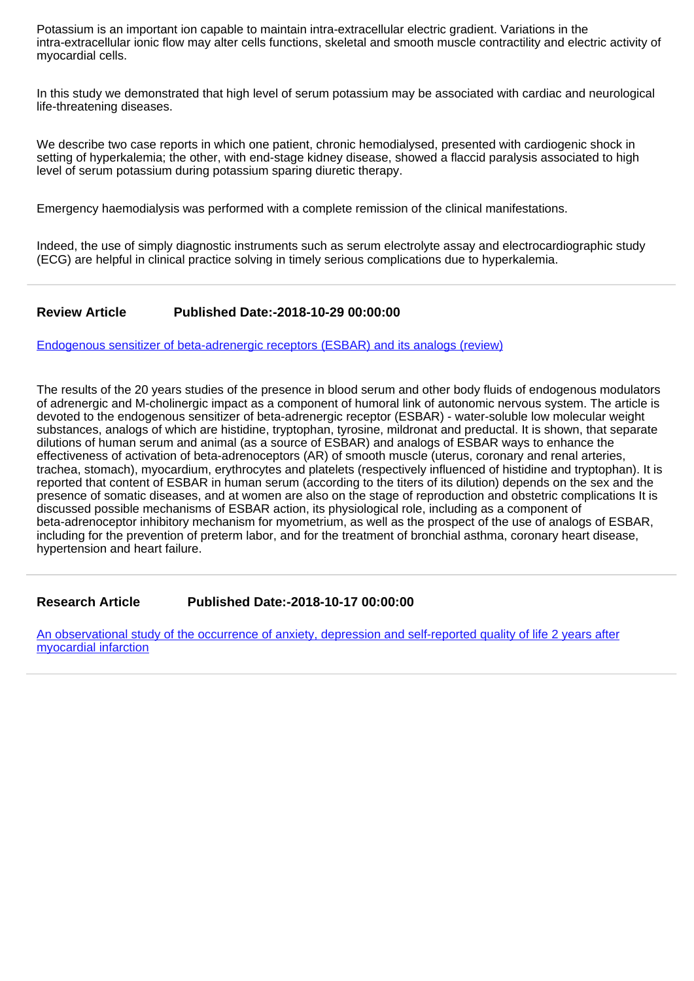Potassium is an important ion capable to maintain intra-extracellular electric gradient. Variations in the intra-extracellular ionic flow may alter cells functions, skeletal and smooth muscle contractility and electric activity of myocardial cells.

In this study we demonstrated that high level of serum potassium may be associated with cardiac and neurological life-threatening diseases.

We describe two case reports in which one patient, chronic hemodialysed, presented with cardiogenic shock in setting of hyperkalemia; the other, with end-stage kidney disease, showed a flaccid paralysis associated to high level of serum potassium during potassium sparing diuretic therapy.

Emergency haemodialysis was performed with a complete remission of the clinical manifestations.

Indeed, the use of simply diagnostic instruments such as serum electrolyte assay and electrocardiographic study (ECG) are helpful in clinical practice solving in timely serious complications due to hyperkalemia.

#### **Review Article Published Date:-2018-10-29 00:00:00**

[Endogenous sensitizer of beta-adrenergic receptors \(ESBAR\) and its analogs \(review\)](https://www.cardiologymedjournal.com/articles/jccm-aid1028.pdf)

The results of the 20 years studies of the presence in blood serum and other body fluids of endogenous modulators of adrenergic and M-cholinergic impact as a component of humoral link of autonomic nervous system. The article is devoted to the endogenous sensitizer of beta-adrenergic receptor (ESBAR) - water-soluble low molecular weight substances, analogs of which are histidine, tryptophan, tyrosine, mildronat and preductal. It is shown, that separate dilutions of human serum and animal (as a source of ESBAR) and analogs of ESBAR ways to enhance the effectiveness of activation of beta-adrenoceptors (AR) of smooth muscle (uterus, coronary and renal arteries, trachea, stomach), myocardium, erythrocytes and platelets (respectively influenced of histidine and tryptophan). It is reported that content of ESBAR in human serum (according to the titers of its dilution) depends on the sex and the presence of somatic diseases, and at women are also on the stage of reproduction and obstetric complications It is discussed possible mechanisms of ESBAR action, its physiological role, including as a component of beta-adrenoceptor inhibitory mechanism for myometrium, as well as the prospect of the use of analogs of ESBAR, including for the prevention of preterm labor, and for the treatment of bronchial asthma, coronary heart disease, hypertension and heart failure.

**Research Article Published Date:-2018-10-17 00:00:00**

[An observational study of the occurrence of anxiety, depression and self-reported quality of life 2 years after](https://www.cardiologymedjournal.com/articles/jccm-aid1027.pdf) [myocardial infarction](https://www.cardiologymedjournal.com/articles/jccm-aid1027.pdf)